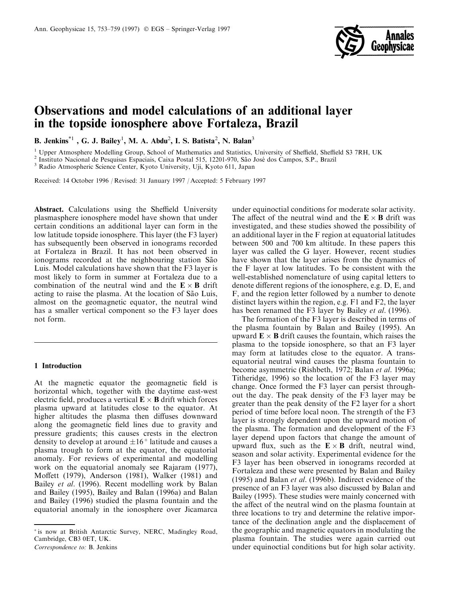

# Observations and model calculations of an additional layer in the topside ionosphere above Fortaleza, Brazil

B. Jenkins $^{\ast1}$  , G. J. Bailey<sup>1</sup>, M. A. Abdu<sup>2</sup>, I. S. Batista<sup>2</sup>, N. Balan<sup>3</sup>

<sup>1</sup> Upper Atmosphere Modelling Group, School of Mathematics and Statistics, University of Sheffield, Sheffield S3 7RH, UK  $^{2}$  Instituto Nacional de Pesquisas Espaciais, Caixa Postal 515, 12201-970, São José dos Campos,

Received: 14 October 1996 / Revised: 31 January 1997 / Accepted: 5 February 1997

Abstract. Calculations using the Sheffield University plasmasphere ionosphere model have shown that under certain conditions an additional layer can form in the low latitude topside ionosphere. This layer (the F3 layer) has subsequently been observed in ionograms recorded at Fortaleza in Brazil. It has not been observed in ionograms recorded at the neighbouring station São Luis. Model calculations have shown that the F3 layer is most likely to form in summer at Fortaleza due to a combination of the neutral wind and the  $\mathbf{E} \times \mathbf{B}$  drift acting to raise the plasma. At the location of São Luis, almost on the geomagnetic equator, the neutral wind has a smaller vertical component so the F3 layer does not form.

### 1 Introduction

At the magnetic equator the geomagnetic field is horizontal which, together with the daytime east-west electric field, produces a vertical  $\mathbf{E} \times \mathbf{B}$  drift which forces plasma upward at latitudes close to the equator. At higher altitudes the plasma then diffuses downward along the geomagnetic field lines due to gravity and pressure gradients; this causes crests in the electron density to develop at around  $\pm 16^\circ$  latitude and causes a plasma trough to form at the equator, the equatorial anomaly. For reviews of experimental and modelling work on the equatorial anomaly see Rajaram (1977), Moffett (1979), Anderson (1981), Walker (1981) and Bailey et al. (1996). Recent modelling work by Balan and Bailey (1995), Bailey and Balan (1996a) and Balan and Bailey (1996) studied the plasma fountain and the equatorial anomaly in the ionosphere over Jicamarca

Correspondence to: B. Jenkins

under equinoctial conditions for moderate solar activity. The affect of the neutral wind and the  $\mathbf{E} \times \mathbf{B}$  drift was investigated, and these studies showed the possibility of an additional layer in the F region at equatorial latitudes between 500 and 700 km altitude. In these papers this layer was called the G layer. However, recent studies have shown that the layer arises from the dynamics of the F layer at low latitudes. To be consistent with the well-established nomenclature of using capital letters to denote different regions of the ionosphere, e.g. D, E, and F, and the region letter followed by a number to denote distinct layers within the region, e.g. F1 and F2, the layer has been renamed the F3 layer by Bailey et al. (1996).

The formation of the F3 layer is described in terms of the plasma fountain by Balan and Bailey (1995). An upward  $\mathbf{E} \times \mathbf{B}$  drift causes the fountain, which raises the plasma to the topside ionosphere, so that an F3 layer may form at latitudes close to the equator. A transequatorial neutral wind causes the plasma fountain to become asymmetric (Rishbeth, 1972; Balan *et al.* 1996a; Titheridge, 1996) so the location of the F3 layer may change. Once formed the F3 layer can persist throughout the day. The peak density of the F3 layer may be greater than the peak density of the F2 layer for a short period of time before local noon. The strength of the F3 layer is strongly dependent upon the upward motion of the plasma. The formation and development of the F3 layer depend upon factors that change the amount of upward flux, such as the  $\mathbf{E} \times \mathbf{B}$  drift, neutral wind, season and solar activity. Experimental evidence for the F3 layer has been observed in ionograms recorded at Fortaleza and these were presented by Balan and Bailey (1995) and Balan et al. (1996b). Indirect evidence of the presence of an F3 layer was also discussed by Balan and Bailey (1995). These studies were mainly concerned with the affect of the neutral wind on the plasma fountain at three locations to try and determine the relative importance of the declination angle and the displacement of the geographic and magnetic equators in modulating the plasma fountain. The studies were again carried out under equinoctial conditions but for high solar activity.

is now at British Antarctic Survey, NERC, Madingley Road, Cambridge, CB3 0ET, UK.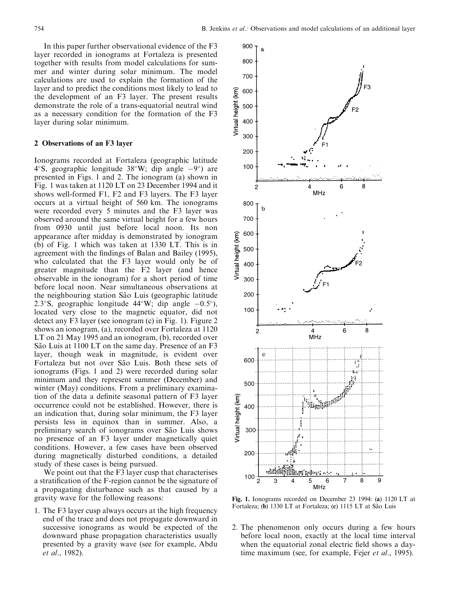In this paper further observational evidence of the F3 layer recorded in ionograms at Fortaleza is presented together with results from model calculations for summer and winter during solar minimum. The model calculations are used to explain the formation of the layer and to predict the conditions most likely to lead to the development of an F3 layer. The present results demonstrate the role of a trans-equatorial neutral wind as a necessary condition for the formation of the F3 layer during solar minimum.

## 2 Observations of an F3 layer

Ionograms recorded at Fortaleza (geographic latitude 4°S, geographic longitude  $38^{\circ}$ W; dip angle  $-9^{\circ}$ ) are presented in Figs. 1 and 2. The ionogram (a) shown in Fig. 1 was taken at 1120 LT on 23 December 1994 and it shows well-formed F1, F2 and F3 layers. The F3 layer occurs at a virtual height of 560 km. The ionograms were recorded every 5 minutes and the F3 layer was observed around the same virtual height for a few hours from 0930 until just before local noon. Its non appearance after midday is demonstrated by ionogram (b) of Fig. 1 which was taken at 1330 LT. This is in agreement with the findings of Balan and Bailey (1995), who calculated that the F3 layer would only be of greater magnitude than the F2 layer (and hence observable in the ionogram) for a short period of time before local noon. Near simultaneous observations at the neighbouring station São Luis (geographic latitude 2.3°S, geographic longitude  $44^{\circ}$ W; dip angle  $-0.5^{\circ}$ ), located very close to the magnetic equator, did not detect any F3 layer (see ionogram (c) in Fig. 1). Figure 2 shows an ionogram, (a), recorded over Fortaleza at 1120 LT on 21 May 1995 and an ionogram, (b), recorded over São Luis at 1100 LT on the same day. Presence of an F3 layer, though weak in magnitude, is evident over Fortaleza but not over São Luis. Both these sets of ionograms (Figs. 1 and 2) were recorded during solar minimum and they represent summer (December) and winter (May) conditions. From a preliminary examination of the data a definite seasonal pattern of F3 layer occurrence could not be established. However, there is an indication that, during solar minimum, the F3 layer persists less in equinox than in summer. Also, a preliminary search of ionograms over São Luis shows no presence of an F3 layer under magnetically quiet conditions. However, a few cases have been observed during magnetically disturbed conditions, a detailed study of these cases is being pursued.

We point out that the F3 layer cusp that characterises a stratification of the F-region cannot be the signature of a propagating disturbance such as that caused by a gravity wave for the following reasons:

1. The F3 layer cusp always occurs at the high frequency end of the trace and does not propagate downward in successive ionograms as would be expected of the downward phase propagation characteristics usually presented by a gravity wave (see for example, Abdu et al., 1982).



Fig. 1. Ionograms recorded on December 23 1994: (a) 1120 LT at Fortaleza; (b) 1330 LT at Fortaleza; (c) 1115 LT at São Luis

2. The phenomenon only occurs during a few hours before local noon, exactly at the local time interval when the equatorial zonal electric field shows a daytime maximum (see, for example, Fejer *et al.*, 1995).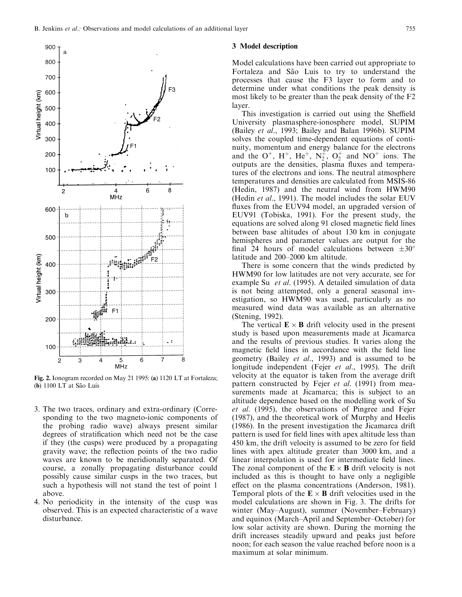

Fig. 2. Ionogram recorded on May 21 1995: (a) 1120 LT at Fortaleza; (b) 1100 LT at São Luis

- 3. The two traces, ordinary and extra-ordinary (Corresponding to the two magneto-ionic components of the probing radio wave) always present similar degrees of stratification which need not be the case if they (the cusps) were produced by a propagating gravity wave; the reflection points of the two radio waves are known to be meridionally separated. Of course, a zonally propagating disturbance could possibly cause similar cusps in the two traces, but such a hypothesis will not stand the test of point 1 above.
- 4. No periodicity in the intensity of the cusp was observed. This is an expected characteristic of a wave disturbance.

## 3 Model description

Model calculations have been carried out appropriate to Fortaleza and São Luis to try to understand the processes that cause the F3 layer to form and to determine under what conditions the peak density is most likely to be greater than the peak density of the F2 layer.

This investigation is carried out using the Sheffield University plasmasphere-ionosphere model, SUPIM (Bailey et al., 1993; Bailey and Balan 1996b). SUPIM solves the coupled time-dependent equations of continuity, momentum and energy balance for the electrons and the  $O^+$ ,  $H^+$ ,  $He^+$ ,  $N_2^+$ ,  $O_2^+$  and  $NO^+$  ions. The outputs are the densities, plasma fluxes and temperatures of the electrons and ions. The neutral atmosphere temperatures and densities are calculated from MSIS-86 (Hedin, 1987) and the neutral wind from HWM90 (Hedin et al., 1991). The model includes the solar EUV fluxes from the EUV94 model, an upgraded version of EUV91 (Tobiska, 1991). For the present study, the equations are solved along 91 closed magnetic field lines between base altitudes of about 130 km in conjugate hemispheres and parameter values are output for the final 24 hours of model calculations between  $\pm 30^{\circ}$ latitude and 200-2000 km altitude.

There is some concern that the winds predicted by HWM90 for low latitudes are not very accurate, see for example Su *et al.* (1995). A detailed simulation of data is not being attempted, only a general seasonal investigation, so HWM90 was used, particularly as no measured wind data was available as an alternative (Stening, 1992).

The vertical  $\mathbf{E} \times \mathbf{B}$  drift velocity used in the present study is based upon measurements made at Jicamarca and the results of previous studies. It varies along the magnetic field lines in accordance with the field line geometry (Bailey et al., 1993) and is assumed to be longitude independent (Fejer *et al.*, 1995). The drift velocity at the equator is taken from the average drift pattern constructed by Fejer *et al.* (1991) from measurements made at Jicamarca; this is subject to an altitude dependence based on the modelling work of Su et al. (1995), the observations of Pingree and Fejer (1987), and the theoretical work of Murphy and Heelis (1986). In the present investigation the Jicamarca drift pattern is used for field lines with apex altitude less than 450 km, the drift velocity is assumed to be zero for field lines with apex altitude greater than 3000 km, and a linear interpolation is used for intermediate field lines. The zonal component of the  $\mathbf{E} \times \mathbf{B}$  drift velocity is not included as this is thought to have only a negligible effect on the plasma concentrations (Anderson, 1981). Temporal plots of the  $\mathbf{E} \times \mathbf{B}$  drift velocities used in the model calculations are shown in Fig. 3. The drifts for winter (May-August), summer (November-February) and equinox (March-April and September-October) for low solar activity are shown. During the morning the drift increases steadily upward and peaks just before noon; for each season the value reached before noon is a maximum at solar minimum.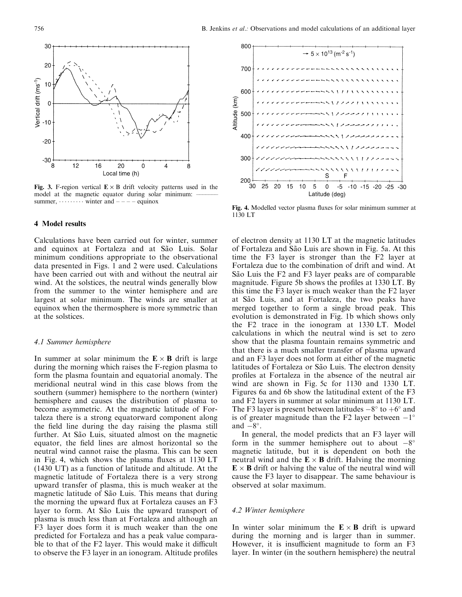

Fig. 3. F-region vertical  $E \times B$  drift velocity patterns used in the model at the magnetic equator during solar minimum: summer,  $\dots \dots \dots$  winter and  $---$  equinox

## 4 Model results

Calculations have been carried out for winter, summer and equinox at Fortaleza and at São Luis. Solar minimum conditions appropriate to the observational data presented in Figs. 1 and 2 were used. Calculations have been carried out with and without the neutral air wind. At the solstices, the neutral winds generally blow from the summer to the winter hemisphere and are largest at solar minimum. The winds are smaller at equinox when the thermosphere is more symmetric than at the solstices.

#### 4.1 Summer hemisphere

In summer at solar minimum the  $\mathbf{E} \times \mathbf{B}$  drift is large during the morning which raises the F-region plasma to form the plasma fountain and equatorial anomaly. The meridional neutral wind in this case blows from the southern (summer) hemisphere to the northern (winter) hemisphere and causes the distribution of plasma to become asymmetric. At the magnetic latitude of Fortaleza there is a strong equatorward component along the field line during the day raising the plasma still further. At São Luis, situated almost on the magnetic equator, the field lines are almost horizontal so the neutral wind cannot raise the plasma. This can be seen in Fig. 4, which shows the plasma fluxes at  $1130$  LT (1430 UT) as a function of latitude and altitude. At the magnetic latitude of Fortaleza there is a very strong upward transfer of plasma, this is much weaker at the magnetic latitude of São Luis. This means that during the morning the upward flux at Fortaleza causes an  $F3$ layer to form. At São Luis the upward transport of plasma is much less than at Fortaleza and although an F3 layer does form it is much weaker than the one predicted for Fortaleza and has a peak value comparable to that of the F2 layer. This would make it difficult to observe the F3 layer in an ionogram. Altitude profiles



Fig. 4. Modelled vector plasma fluxes for solar minimum summer at 1130 LT

of electron density at 1130 LT at the magnetic latitudes of Fortaleza and São Luis are shown in Fig. 5a. At this time the F3 layer is stronger than the F2 layer at Fortaleza due to the combination of drift and wind. At São Luis the F2 and F3 layer peaks are of comparable magnitude. Figure 5b shows the profiles at 1330 LT. By this time the F3 layer is much weaker than the F2 layer at São Luis, and at Fortaleza, the two peaks have merged together to form a single broad peak. This evolution is demonstrated in Fig. 1b which shows only the F2 trace in the ionogram at 1330 LT. Model calculations in which the neutral wind is set to zero show that the plasma fountain remains symmetric and that there is a much smaller transfer of plasma upward and an F3 layer does not form at either of the magnetic latitudes of Fortaleza or São Luis. The electron density profiles at Fortaleza in the absence of the neutral air wind are shown in Fig. 5c for 1130 and 1330 LT. Figures 6a and 6b show the latitudinal extent of the F3 and F2 layers in summer at solar minimum at 1130 LT. The F3 layer is present between latitudes  $-8^\circ$  to  $+6^\circ$  and is of greater magnitude than the F2 layer between  $-1^{\circ}$ and  $-8^\circ$ .

In general, the model predicts that an F3 layer will form in the summer hemisphere out to about  $-8^{\circ}$ magnetic latitude, but it is dependent on both the neutral wind and the  $\mathbf{E} \times \mathbf{B}$  drift. Halving the morning  $\mathbf{E} \times \mathbf{B}$  drift or halving the value of the neutral wind will cause the F3 layer to disappear. The same behaviour is observed at solar maximum.

# 4.2 Winter hemisphere

In winter solar minimum the  $\mathbf{E} \times \mathbf{B}$  drift is upward during the morning and is larger than in summer. However, it is insufficient magnitude to form an F3 layer. In winter (in the southern hemisphere) the neutral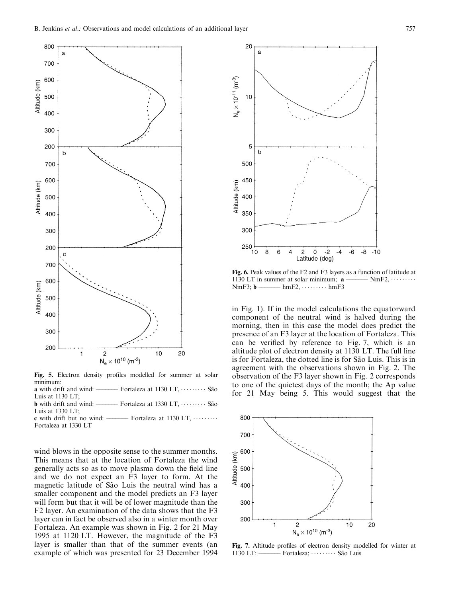

Fig. 5. Electron density profiles modelled for summer at solar minimum:

a with drift and wind:  $-$  Fortaleza at 1130 LT,  $\cdots$  São Luis at 1130 LT<sup>i</sup> **b** with drift and wind:  $-$  Fortaleza at 1330 LT,  $\cdots$  São

Luis at 1330 LT;<br>c with drift but no wind: -Fortaleza at 1130 LT,  $\cdots$ ...

Fortaleza at 1330 LT

wind blows in the opposite sense to the summer months. This means that at the location of Fortaleza the wind generally acts so as to move plasma down the field line and we do not expect an F3 layer to form. At the magnetic latitude of São Luis the neutral wind has a smaller component and the model predicts an F3 layer will form but that it will be of lower magnitude than the F2 layer. An examination of the data shows that the F3 layer can in fact be observed also in a winter month over Fortaleza. An example was shown in Fig. 2 for 21 May 1995 at 1120 LT. However, the magnitude of the F3 layer is smaller than that of the summer events (an example of which was presented for 23 December 1994



Fig. 6. Peak values of the F2 and F3 layers as a function of latitude at 1130 LT in summer at solar minimum;  $\mathbf{a}$   $\overline{\phantom{a}}$  NmF2,  $\cdots \cdots \overline{\phantom{a}}$ NmF3;  $\mathbf{b}$   $\overline{\phantom{a}}$  hmF2,  $\cdots \cdots \cdots \overline{\phantom{a}}$ hmF3  $-$  hmF2,  $\cdots \cdots$  hmF3

in Fig. 1). If in the model calculations the equatorward component of the neutral wind is halved during the morning, then in this case the model does predict the presence of an F3 layer at the location of Fortaleza. This can be verified by reference to Fig. 7, which is an altitude plot of electron density at 1130 LT. The full line is for Fortaleza, the dotted line is for São Luis. This is in agreement with the observations shown in Fig. 2. The observation of the F3 layer shown in Fig. 2 corresponds to one of the quietest days of the month; the Ap value for 21 May being 5. This would suggest that the



Fig. 7. Altitude profiles of electron density modelled for winter at  $1130$  LT:  $\longrightarrow$  Fortaleza;  $\cdots$  São Luis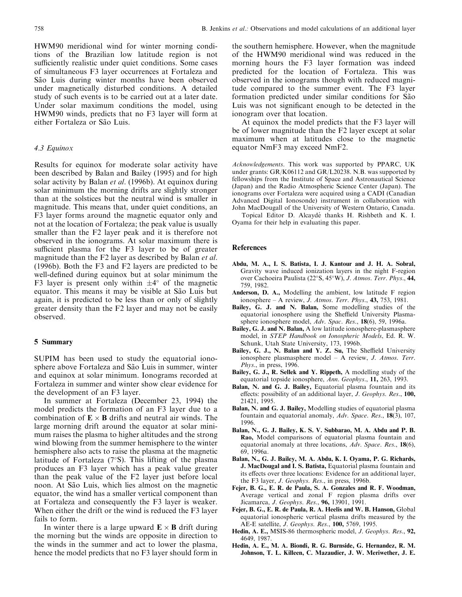HWM90 meridional wind for winter morning conditions of the Brazilian low latitude region is not sufficiently realistic under quiet conditions. Some cases of simultaneous F3 layer occurrences at Fortaleza and São Luis during winter months have been observed under magnetically disturbed conditions. A detailed study of such events is to be carried out at a later date. Under solar maximum conditions the model, using HWM90 winds, predicts that no F3 layer will form at either Fortaleza or São Luis.

# 4.3 Equinox

Results for equinox for moderate solar activity have been described by Balan and Bailey (1995) and for high solar activity by Balan et al. (1996b). At equinox during solar minimum the morning drifts are slightly stronger than at the solstices but the neutral wind is smaller in magnitude. This means that, under quiet conditions, an F3 layer forms around the magnetic equator only and not at the location of Fortaleza; the peak value is usually smaller than the F2 layer peak and it is therefore not observed in the ionograms. At solar maximum there is sufficient plasma for the F3 layer to be of greater magnitude than the F2 layer as described by Balan *et al*. (1996b). Both the F3 and F2 layers are predicted to be well-defined during equinox but at solar minimum the F3 layer is present only within  $\pm 4^{\circ}$  of the magnetic equator. This means it may be visible at São Luis but again, it is predicted to be less than or only of slightly greater density than the F2 layer and may not be easily observed.

#### 5 Summary

SUPIM has been used to study the equatorial ionosphere above Fortaleza and São Luis in summer, winter and equinox at solar minimum. Ionograms recorded at Fortaleza in summer and winter show clear evidence for the development of an F3 layer.

In summer at Fortaleza (December 23, 1994) the model predicts the formation of an F3 layer due to a combination of  $\mathbf{E} \times \mathbf{B}$  drifts and neutral air winds. The large morning drift around the equator at solar minimum raises the plasma to higher altitudes and the strong wind blowing from the summer hemisphere to the winter hemisphere also acts to raise the plasma at the magnetic latitude of Fortaleza  $(7°S)$ . This lifting of the plasma produces an F3 layer which has a peak value greater than the peak value of the F2 layer just before local noon. At São Luis, which lies almost on the magnetic equator, the wind has a smaller vertical component than at Fortaleza and consequently the F3 layer is weaker. When either the drift or the wind is reduced the F3 layer fails to form.

In winter there is a large upward  $\mathbf{E} \times \mathbf{B}$  drift during the morning but the winds are opposite in direction to the winds in the summer and act to lower the plasma, hence the model predicts that no F3 layer should form in

the southern hemisphere. However, when the magnitude of the HWM90 meridional wind was reduced in the morning hours the F3 layer formation was indeed predicted for the location of Fortaleza. This was observed in the ionograms though with reduced magnitude compared to the summer event. The F3 layer formation predicted under similar conditions for São Luis was not significant enough to be detected in the ionogram over that location.

At equinox the model predicts that the F3 layer will be of lower magnitude than the F2 layer except at solar maximum when at latitudes close to the magnetic equator NmF3 may exceed NmF2.

Acknowledgements. This work was supported by PPARC, UK under grants: GR/K06112 and GR/L20238. N.B. was supported by fellowships from the Institute of Space and Astronautical Science (Japan) and the Radio Atmospheric Science Center (Japan). The ionograms over Fortaleza were acquired using a CADI (Canadian Advanced Digital Ionosonde) instrument in collaboration with John MacDougall of the University of Western Ontario, Canada.

Topical Editor D. Alcaydé thanks H. Rishbeth and K. I. Oyama for their help in evaluating this paper.

## References

- Abdu, M. A., I. S. Batista, I. J. Kantour and J. H. A. Sobral, Gravity wave induced ionization layers in the night F-region over Cachoeira Paulista (22°S, 45°W), J. Atmos. Terr. Phys., 44, 759, 1982.
- Anderson, D. A., Modelling the ambient, low latitude F region ionosphere  $- A$  review, *J. Atmos. Terr. Phys.*, **43,** 753, 1981.
- Bailey, G. J. and N. Balan, Some modelling studies of the equatorial ionosphere using the Sheffield University Plasmasphere ionosphere model, Adv. Spac. Res., 18(6), 59, 1996a.
- Bailey, G. J. and N. Balan, A low latitude ionosphere-plasmasphere model, in STEP Handbook on Ionospheric Models, Ed. R. W. Schunk, Utah State University, 173, 1996b.
- Bailey, G. J., N. Balan and Y. Z. Su, The Sheffield University ionosphere plasmasphere model  $-$  A review, *J. Atmos. Terr.* Phys., in press, 1996.
- Bailey, G. J., R. Sellek and Y. Rippeth, A modelling study of the equatorial topside ionosphere, Ann. Geophys., 11, 263, 1993.
- Balan, N. and G. J. Bailey, Equatorial plasma fountain and its effects: possibility of an additional layer, J. Geophys. Res., 100, 21421, 1995.
- Balan, N. and G. J. Bailey, Modelling studies of equatorial plasma fountain and equatorial anomaly, Adv. Space. Res., 18(3), 107, 1996.
- Balan, N., G. J. Bailey, K. S. V. Subbarao, M. A. Abdu and P. B. Rao, Model comparisons of equatorial plasma fountain and equatorial anomaly at three locations, Adv. Space. Res., 18(6), 69, 1996a.
- Balan, N., G. J. Bailey, M. A. Abdu, K. I. Oyama, P. G. Richards, J. MacDougal and I. S. Batista, Equatorial plasma fountain and its effects over three locations: Evidence for an additional layer, the F3 layer, J. Geophys. Res., in press, 1996b.
- Fejer, B. G., E. R. de Paula, S. A. Gonzales and R. F. Woodman, Average vertical and zonal F region plasma drifts over Jicamarca, J. Geophys. Res., 96, 13901, 1991.
- Fejer, B. G., E. R. de Paula, R. A. Heelis and W. B. Hanson, Global equatorial ionospheric vertical plasma drifts measured by the AE-E satellite, J. Geophys. Res., 100, 5769, 1995.
- Hedin, A. E., MSIS-86 thermospheric model, J. Geophys. Res., 92, 4649, 1987.
- Hedin, A. E., M. A. Biondi, R. G. Burnside, G. Hernandez, R. M. Johnson, T. L. Killeen, C. Mazaudier, J. W. Meriwether, J. E.